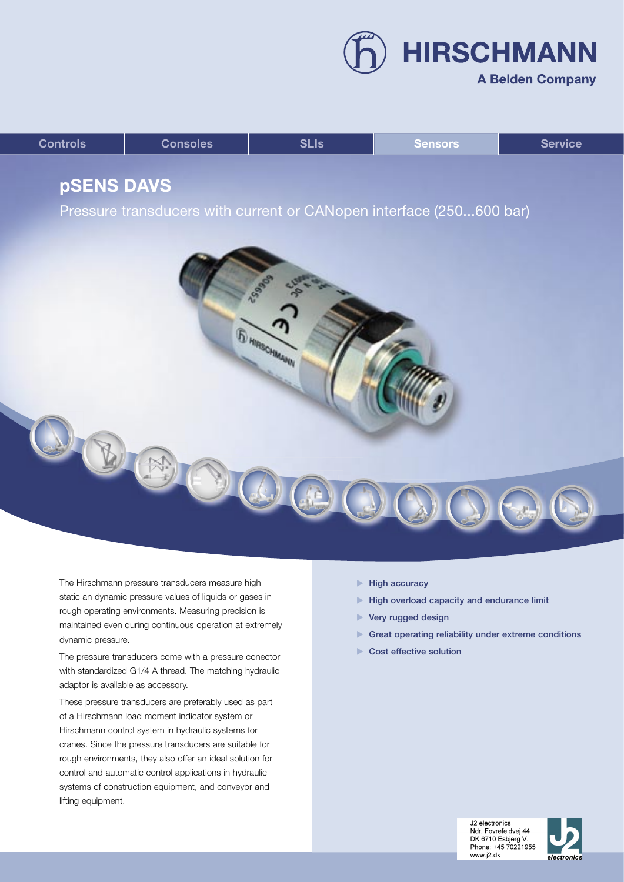**HIRSCHMANN A Belden Company** 

| <b>Controls</b> | <b>Consoles</b> | <b>SLIs</b> | <b>Sensors</b> | <b>Service</b> |
|-----------------|-----------------|-------------|----------------|----------------|
|                 |                 |             |                |                |

# **pSENS DAVS**

Pressure transducers with current or CANopen interface (250...600 bar)



The Hirschmann pressure transducers measure high static an dynamic pressure values of liquids or gases in rough operating environments. Measuring precision is maintained even during continuous operation at extremely dynamic pressure.

The pressure transducers come with a pressure conector with standardized G1/4 A thread. The matching hydraulic adaptor is available as accessory.

These pressure transducers are preferably used as part of a Hirschmann load moment indicator system or Hirschmann control system in hydraulic systems for cranes. Since the pressure transducers are suitable for rough environments, they also offer an ideal solution for control and automatic control applications in hydraulic systems of construction equipment, and conveyor and lifting equipment.

- $\blacktriangleright$  High accuracy
- $\blacktriangleright$  High overload capacity and endurance limit
- ▶ Very rugged design
- Great operating reliability under extreme conditions
- Cost effective solution